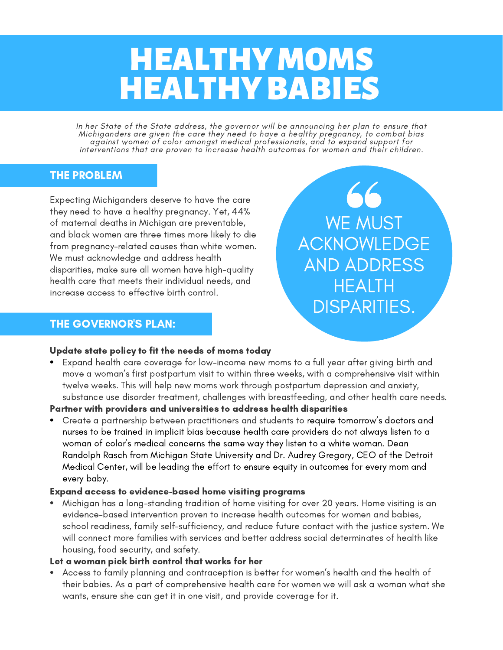# HEALTHY MOMS **HEALTHY BABIES**

In her State of the State address, the governor will be announcing her plan to ensure that Michiganders are given the care they need to have a healthy pregnancy, to combat bias against women of color amongst medical professionals, and to expand support for interventions that are proven to increase health outcomes for women and their children.

# THE PROBLEM

Expecting Michiganders deserve to have the care they need to have a healthy pregnancy. Yet, 44% of maternal deaths in Michigan are preventable, and black women are three times more likely to die from pregnancy-related causes than white women. We must acknowledge and address health disparities, make sure all women have high-quality health care that meets their individual needs, and increase access to effective birth control.

# THE GOVERNOR'S PLAN:

66 WE MUST ACKNOWLEDGE AND ADDRESS **HFALTH** DISPARITIES.

## Update state policy to fit the needs of moms today

Expand health care coverage for low-income new moms to a full year after giving birth and move a woman's first postpartum visit to within three weeks, with a comprehensive visit within twelve weeks. This will help new moms work through postpartum depression and anxiety, substance use disorder treatment, challenges with breastfeeding, and other health care needs.

#### Partner with providers and universities to address health disparities

Create a partnership between practitioners and students to require tomorrow's doctors and nurses to be trained in implicit bias because health care providers do not always listen to a woman of color's medical concerns the same way they listen to a white woman. Dean Randolph Rasch from Michigan State University and Dr. Audrey Gregory, CEO of the Detroit Medical Center, will be leading the effort to ensure equity in outcomes for every mom and every baby.

#### Expand access to evidence-based home visiting programs

Michigan has a long-standing tradition of home visiting for over 20 years. Home visiting is an evidence-based intervention proven to increase health outcomes for women and babies, school readiness, family self-sufficiency, and reduce future contact with the justice system. We will connect more families with services and better address social determinates of health like housing, food security, and safety.

#### Let a woman pick birth control that works for her

Access to family planning and contraception is better for women's health and the health of their babies. As a part of comprehensive health care for women we will ask a woman what she wants, ensure she can get it in one visit, and provide coverage for it.